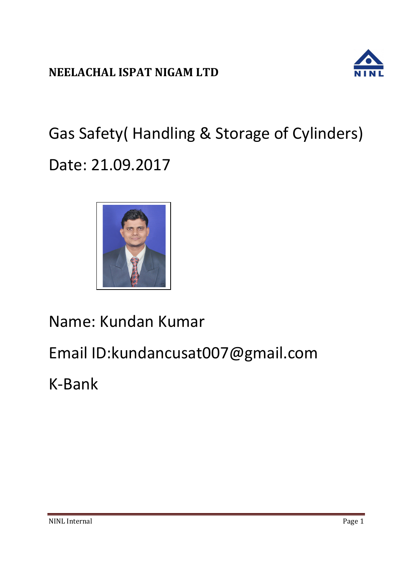

Gas Safety( Handling & Storage of Cylinders) Date: 21.09.2017



Name: Kundan Kumar

Email ID:kundancusat007@gmail.com

K-Bank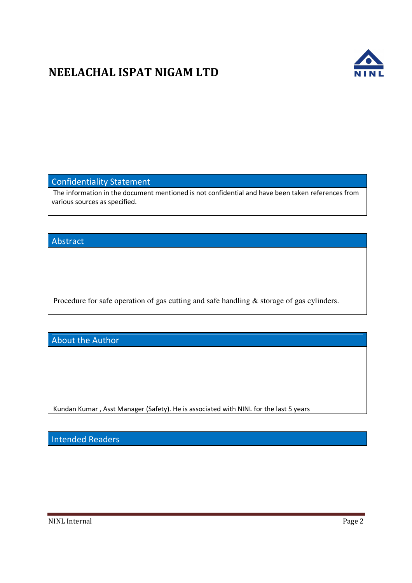

## Confidentiality Statement

The information in the document mentioned is not confidential and have been taken references from various sources as specified.

## Abstract

Procedure for safe operation of gas cutting and safe handling & storage of gas cylinders.

About the Author

Kundan Kumar , Asst Manager (Safety). He is associated with NINL for the last 5 years

Intended Readers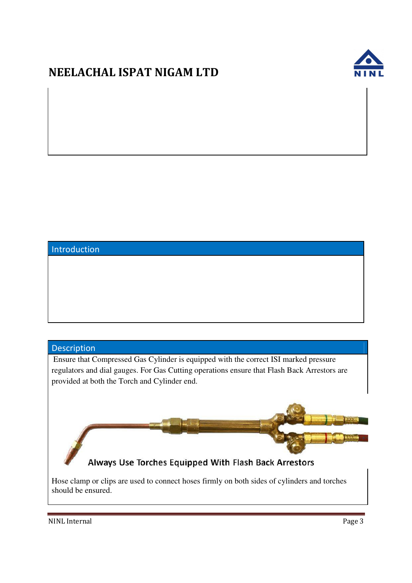

## Introduction

## Description

Ensure that Compressed Gas Cylinder is equipped with the correct ISI marked pressure regulators and dial gauges. For Gas Cutting operations ensure that Flash Back Arrestors are provided at both the Torch and Cylinder end.



Always Use Torches Equipped With Flash Back Arrestors

Hose clamp or clips are used to connect hoses firmly on both sides of cylinders and torches should be ensured.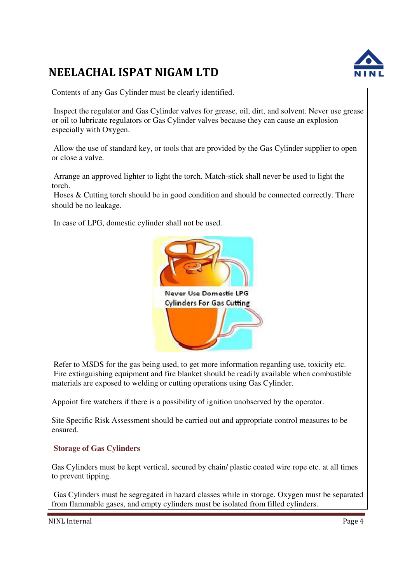

Contents of any Gas Cylinder must be clearly identified.

 Inspect the regulator and Gas Cylinder valves for grease, oil, dirt, and solvent. Never use grease or oil to lubricate regulators or Gas Cylinder valves because they can cause an explosion especially with Oxygen.

 Allow the use of standard key, or tools that are provided by the Gas Cylinder supplier to open or close a valve.

 Arrange an approved lighter to light the torch. Match-stick shall never be used to light the torch.

 Hoses & Cutting torch should be in good condition and should be connected correctly. There should be no leakage.

In case of LPG, domestic cylinder shall not be used.



 Refer to MSDS for the gas being used, to get more information regarding use, toxicity etc. Fire extinguishing equipment and fire blanket should be readily available when combustible materials are exposed to welding or cutting operations using Gas Cylinder.

Appoint fire watchers if there is a possibility of ignition unobserved by the operator.

Site Specific Risk Assessment should be carried out and appropriate control measures to be ensured.

## **Storage of Gas Cylinders**

Gas Cylinders must be kept vertical, secured by chain/ plastic coated wire rope etc. at all times to prevent tipping.

 Gas Cylinders must be segregated in hazard classes while in storage. Oxygen must be separated from flammable gases, and empty cylinders must be isolated from filled cylinders.

NINL Internal Page 4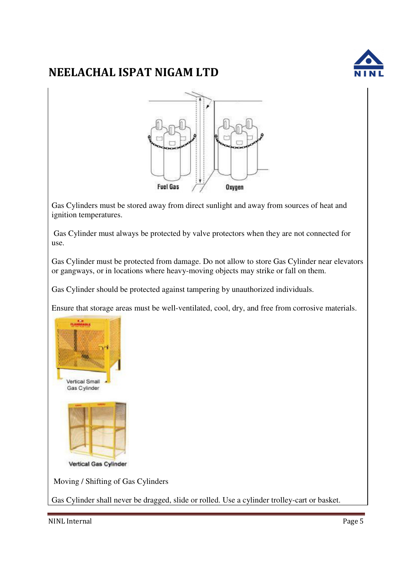

Gas Cylinders must be stored away from direct sunlight and away from sources of heat and ignition temperatures.

 Gas Cylinder must always be protected by valve protectors when they are not connected for use.

Gas Cylinder must be protected from damage. Do not allow to store Gas Cylinder near elevators or gangways, or in locations where heavy-moving objects may strike or fall on them.

Gas Cylinder should be protected against tampering by unauthorized individuals.

Ensure that storage areas must be well-ventilated, cool, dry, and free from corrosive materials.



Moving / Shifting of Gas Cylinders

Gas Cylinder shall never be dragged, slide or rolled. Use a cylinder trolley-cart or basket.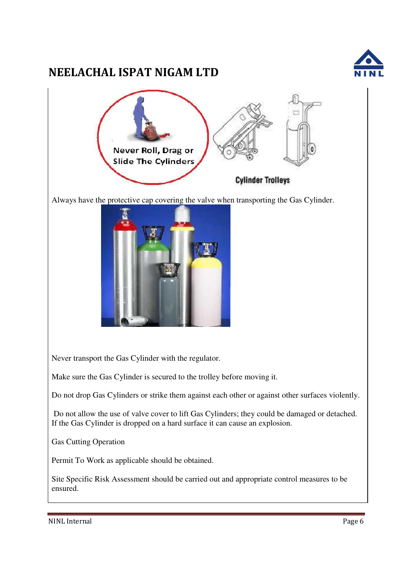

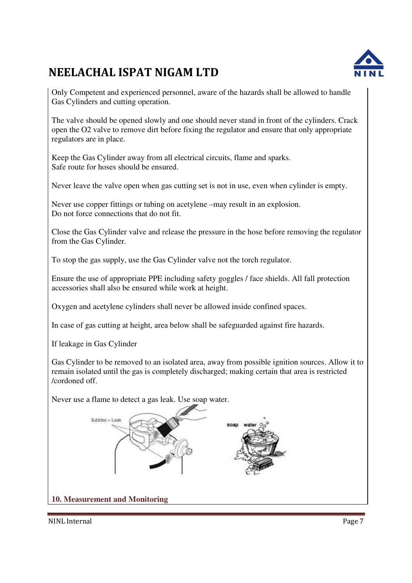

Only Competent and experienced personnel, aware of the hazards shall be allowed to handle Gas Cylinders and cutting operation.

The valve should be opened slowly and one should never stand in front of the cylinders. Crack open the O2 valve to remove dirt before fixing the regulator and ensure that only appropriate regulators are in place.

Keep the Gas Cylinder away from all electrical circuits, flame and sparks. Safe route for hoses should be ensured.

Never leave the valve open when gas cutting set is not in use, even when cylinder is empty.

Never use copper fittings or tubing on acetylene –may result in an explosion. Do not force connections that do not fit.

Close the Gas Cylinder valve and release the pressure in the hose before removing the regulator from the Gas Cylinder.

To stop the gas supply, use the Gas Cylinder valve not the torch regulator.

Ensure the use of appropriate PPE including safety goggles / face shields. All fall protection accessories shall also be ensured while work at height.

Oxygen and acetylene cylinders shall never be allowed inside confined spaces.

In case of gas cutting at height, area below shall be safeguarded against fire hazards.

If leakage in Gas Cylinder

Gas Cylinder to be removed to an isolated area, away from possible ignition sources. Allow it to remain isolated until the gas is completely discharged; making certain that area is restricted /cordoned off.

Never use a flame to detect a gas leak. Use soap water.



**10. Measurement and Monitoring**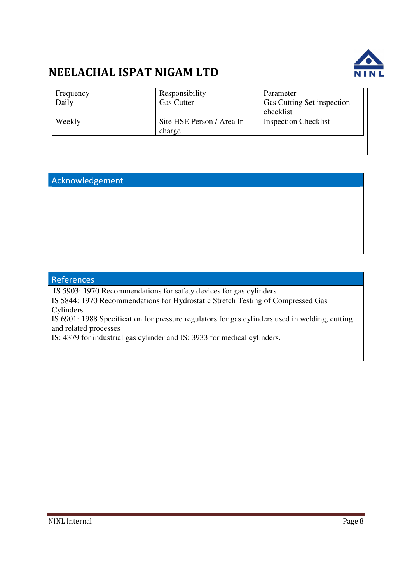

| Frequency | Responsibility            | Parameter                   |
|-----------|---------------------------|-----------------------------|
| Daily     | <b>Gas Cutter</b>         | Gas Cutting Set inspection  |
|           |                           | checklist                   |
| Weekly    | Site HSE Person / Area In | <b>Inspection Checklist</b> |
|           | charge                    |                             |
|           |                           |                             |
|           |                           |                             |

## Acknowledgement

## References

IS 5903: 1970 Recommendations for safety devices for gas cylinders

IS 5844: 1970 Recommendations for Hydrostatic Stretch Testing of Compressed Gas Cylinders

IS 6901: 1988 Specification for pressure regulators for gas cylinders used in welding, cutting and related processes

IS: 4379 for industrial gas cylinder and IS: 3933 for medical cylinders.